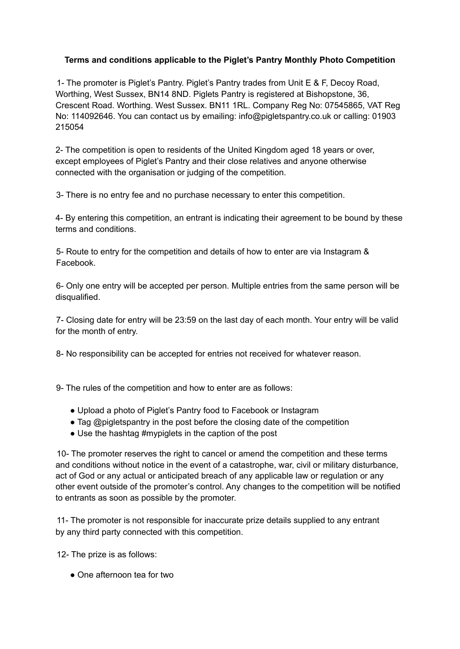## **Terms and conditions applicable to the Piglet's Pantry Monthly Photo Competition**

1- The promoter is Piglet's Pantry. Piglet's Pantry trades from Unit E & F, Decoy Road, Worthing, West Sussex, BN14 8ND. Piglets Pantry is registered at Bishopstone, 36, Crescent Road. Worthing. West Sussex. BN11 1RL. Company Reg No: 07545865, VAT Reg No: 114092646. You can contact us by emailing: info@pigletspantry.co.uk or calling: 01903 215054

2- The competition is open to residents of the United Kingdom aged 18 years or over, except employees of Piglet's Pantry and their close relatives and anyone otherwise connected with the organisation or judging of the competition.

3- There is no entry fee and no purchase necessary to enter this competition.

4- By entering this competition, an entrant is indicating their agreement to be bound by these terms and conditions.

5- Route to entry for the competition and details of how to enter are via Instagram & Facebook.

6- Only one entry will be accepted per person. Multiple entries from the same person will be disqualified.

7- Closing date for entry will be 23:59 on the last day of each month. Your entry will be valid for the month of entry.

8- No responsibility can be accepted for entries not received for whatever reason.

9- The rules of the competition and how to enter are as follows:

- Upload a photo of Piglet's Pantry food to Facebook or Instagram
- Tag @pigletspantry in the post before the closing date of the competition
- Use the hashtag #mypiglets in the caption of the post

10- The promoter reserves the right to cancel or amend the competition and these terms and conditions without notice in the event of a catastrophe, war, civil or military disturbance, act of God or any actual or anticipated breach of any applicable law or regulation or any other event outside of the promoter's control. Any changes to the competition will be notified to entrants as soon as possible by the promoter.

11- The promoter is not responsible for inaccurate prize details supplied to any entrant by any third party connected with this competition.

12- The prize is as follows:

• One afternoon tea for two